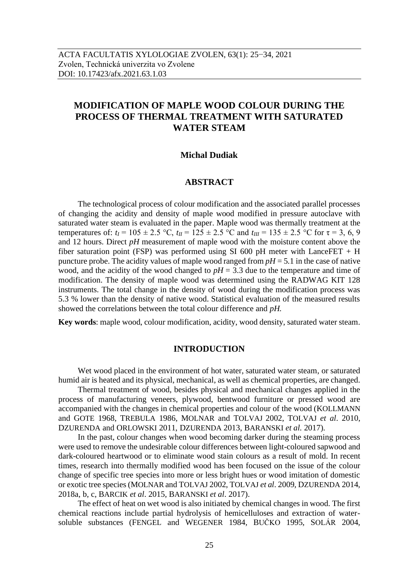# **MODIFICATION OF MAPLE WOOD COLOUR DURING THE PROCESS OF THERMAL TREATMENT WITH SATURATED WATER STEAM**

## **Michal Dudiak**

# **ABSTRACT**

The technological process of colour modification and the associated parallel processes of changing the acidity and density of maple wood modified in pressure autoclave with saturated water steam is evaluated in the paper. Maple wood was thermally treatment at the temperatures of:  $t_I = 105 \pm 2.5$  °C,  $t_{II} = 125 \pm 2.5$  °C and  $t_{III} = 135 \pm 2.5$  °C for  $\tau = 3, 6, 9$ and 12 hours. Direct *pH* measurement of maple wood with the moisture content above the fiber saturation point (FSP) was performed using SI 600 pH meter with LanceFET  $+$  H puncture probe. The acidity values of maple wood ranged from  $pH = 5.1$  in the case of native wood, and the acidity of the wood changed to  $pH = 3.3$  due to the temperature and time of modification. The density of maple wood was determined using the RADWAG KIT 128 instruments. The total change in the density of wood during the modification process was 5.3 % lower than the density of native wood. Statistical evaluation of the measured results showed the correlations between the total colour difference and *pH.*

**Key words**: maple wood, colour modification, acidity, wood density, saturated water steam.

# **INTRODUCTION**

Wet wood placed in the environment of hot water, saturated water steam, or saturated humid air is heated and its physical, mechanical, as well as chemical properties, are changed.

Thermal treatment of wood, besides physical and mechanical changes applied in the process of manufacturing veneers, plywood, bentwood furniture or pressed wood are accompanied with the changes in chemical properties and colour of the wood (KOLLMANN and GOTE 1968, TREBULA 1986, MOLNAR and TOLVAJ 2002, TOLVAJ *et al*. 2010, DZURENDA and ORLOWSKI 2011, DZURENDA 2013, BARANSKI *et al*. 2017).

In the past, colour changes when wood becoming darker during the steaming process were used to remove the undesirable colour differences between light-coloured sapwood and dark-coloured heartwood or to eliminate wood stain colours as a result of mold. In recent times, research into thermally modified wood has been focused on the issue of the colour change of specific tree species into more or less bright hues or wood imitation of domestic or exotic tree species (MOLNAR and TOLVAJ 2002, TOLVAJ *et al*. 2009, DZURENDA 2014, 2018a, b, c, BARCIK *et al*. 2015, BARANSKI *et al*. 2017).

The effect of heat on wet wood is also initiated by chemical changes in wood. The first chemical reactions include partial hydrolysis of hemicelluloses and extraction of watersoluble substances (FENGEL and WEGENER 1984, BUČKO 1995, SOLÁR 2004,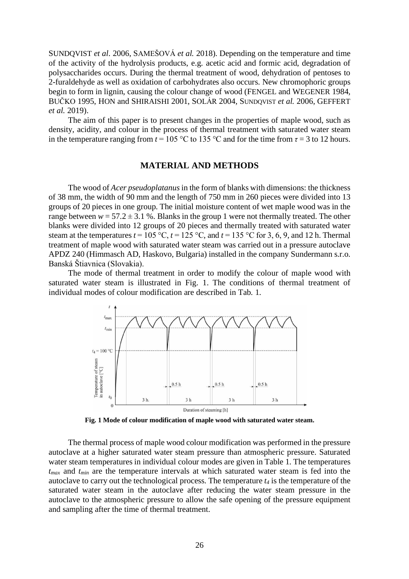SUNDQVIST *et al*. 2006, SAMEŠOVÁ *et al.* 2018). Depending on the temperature and time of the activity of the hydrolysis products, e.g. acetic acid and formic acid, degradation of polysaccharides occurs. During the thermal treatment of wood, dehydration of pentoses to 2-furaldehyde as well as oxidation of carbohydrates also occurs. New chromophoric groups begin to form in lignin, causing the colour change of wood (FENGEL and WEGENER 1984, BUČKO 1995, HON and SHIRAISHI 2001, SOLÁR 2004, SUNDQVIST *et al.* 2006, GEFFERT *et al.* 2019).

The aim of this paper is to present changes in the properties of maple wood, such as density, acidity, and colour in the process of thermal treatment with saturated water steam in the temperature ranging from  $t = 105$  °C to 135 °C and for the time from  $\tau = 3$  to 12 hours.

## **MATERIAL AND METHODS**

The wood of *Acer pseudoplatanus* in the form of blanks with dimensions: the thickness of 38 mm, the width of 90 mm and the length of 750 mm in 260 pieces were divided into 13 groups of 20 pieces in one group. The initial moisture content of wet maple wood was in the range between  $w = 57.2 \pm 3.1$  %. Blanks in the group 1 were not thermally treated. The other blanks were divided into 12 groups of 20 pieces and thermally treated with saturated water steam at the temperatures  $t = 105 \degree C$ ,  $t = 125 \degree C$ , and  $t = 135 \degree C$  for 3, 6, 9, and 12 h. Thermal treatment of maple wood with saturated water steam was carried out in a pressure autoclave APDZ 240 (Himmasch AD, Haskovo, Bulgaria) installed in the company Sundermann s.r.o. Banská Štiavnica (Slovakia).

The mode of thermal treatment in order to modify the colour of maple wood with saturated water steam is illustrated in Fig. 1. The conditions of thermal treatment of individual modes of colour modification are described in Tab. 1.



**Fig. 1 Mode of colour modification of maple wood with saturated water steam.**

The thermal process of maple wood colour modification was performed in the pressure autoclave at a higher saturated water steam pressure than atmospheric pressure. Saturated water steam temperatures in individual colour modes are given in Table 1. The temperatures *tmax* and *tmin* are the temperature intervals at which saturated water steam is fed into the autoclave to carry out the technological process. The temperature *t<sup>4</sup>* is the temperature of the saturated water steam in the autoclave after reducing the water steam pressure in the autoclave to the atmospheric pressure to allow the safe opening of the pressure equipment and sampling after the time of thermal treatment.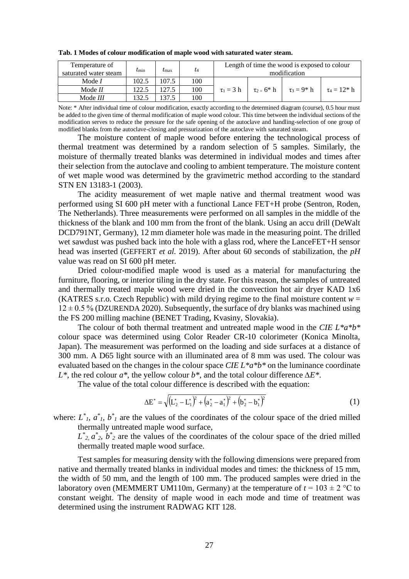| Temperature of<br>saturated water steam | $t_{\rm min}$ | $\iota_{\max}$ | $t_4$ | Length of time the wood is exposed to colour<br>modification |                  |                  |                   |
|-----------------------------------------|---------------|----------------|-------|--------------------------------------------------------------|------------------|------------------|-------------------|
| Mode $I$                                | 102.5         | 107.5          | 100   |                                                              |                  |                  |                   |
| Mode $II$                               | 122.5         | 127.5          | 100   | $\tau_1 = 3 h$                                               | $\tau_2 = 6^* h$ | $\tau_3 = 9^* h$ | $\tau_4 = 12^*$ h |
| Mode III                                | 132.5         | 137.5          | 100   |                                                              |                  |                  |                   |

**Tab. 1 Modes of colour modification of maple wood with saturated water steam.**

Note: \* After individual time of colour modification, exactly according to the determined diagram (course), 0.5 hour must be added to the given time of thermal modification of maple wood colour. This time between the individual sections of the modification serves to reduce the pressure for the safe opening of the autoclave and handling-selection of one group of modified blanks from the autoclave-closing and pressurization of the autoclave with saturated steam.

The moisture content of maple wood before entering the technological process of thermal treatment was determined by a random selection of 5 samples. Similarly, the moisture of thermally treated blanks was determined in individual modes and times after their selection from the autoclave and cooling to ambient temperature. The moisture content of wet maple wood was determined by the gravimetric method according to the standard STN EN 13183-1 (2003).

The acidity measurement of wet maple native and thermal treatment wood was performed using SI 600 pH meter with a functional Lance FET+H probe (Sentron, Roden, The Netherlands). Three measurements were performed on all samples in the middle of the thickness of the blank and 100 mm from the front of the blank. Using an accu drill (DeWalt DCD791NT, Germany), 12 mm diameter hole was made in the measuring point. The drilled wet sawdust was pushed back into the hole with a glass rod, where the LanceFET+H sensor head was inserted (GEFFERT *et al.* 2019). After about 60 seconds of stabilization, the *pH* value was read on SI 600 pH meter.

Dried colour-modified maple wood is used as a material for manufacturing the furniture, flooring, or interior tiling in the dry state. For this reason, the samples of untreated and thermally treated maple wood were dried in the convection hot air dryer KAD 1x6 (KATRES s.r.o. Czech Republic) with mild drying regime to the final moisture content  $w =$  $12 \pm 0.5$  % (DZURENDA 2020). Subsequently, the surface of dry blanks was machined using the FS 200 milling machine (BENET Trading, Kvasiny, Slovakia).

The colour of both thermal treatment and untreated maple wood in the *CIE L\*a\*b\** colour space was determined using Color Reader CR-10 colorimeter (Konica Minolta, Japan). The measurement was performed on the loading and side surfaces at a distance of 300 mm. A D65 light source with an illuminated area of 8 mm was used. The colour was evaluated based on the changes in the colour space *CIE L\*a\*b\** on the luminance coordinate *L\**, the red colour *a\**, the yellow colour *b\**, and the total colour difference *∆E\**.

The value of the total colour difference is described with the equation:

$$
\Delta E^* = \sqrt{\left(L_2^* - L_1^*\right)^2 + \left(a_2^* - a_1^*\right)^2 + \left(b_2^* - b_1^*\right)^2} \tag{1}
$$

where:  $L^*$ <sub>*l*</sub>,  $a^*$ <sub>*l*</sub>,  $b^*$ <sub>*l*</sub> are the values of the coordinates of the colour space of the dried milled thermally untreated maple wood surface,

 $L^*$ <sub>2</sub>,  $a^*$ <sub>2</sub>,  $b^*$ <sub>2</sub> are the values of the coordinates of the colour space of the dried milled thermally treated maple wood surface.

Test samples for measuring density with the following dimensions were prepared from native and thermally treated blanks in individual modes and times: the thickness of 15 mm, the width of 50 mm, and the length of 100 mm. The produced samples were dried in the laboratory oven (MEMMERT UM110m, Germany) at the temperature of  $t = 103 \pm 2$  °C to constant weight. The density of maple wood in each mode and time of treatment was determined using the instrument RADWAG KIT 128.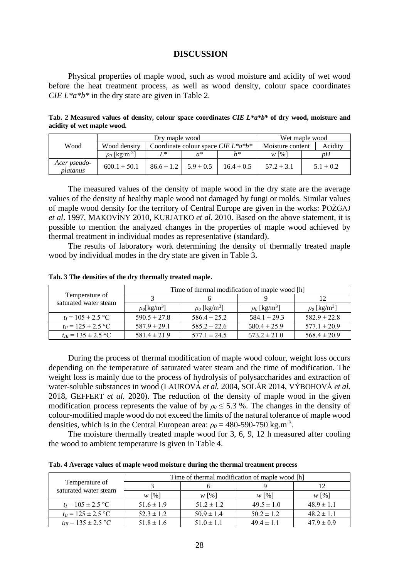#### **DISCUSSION**

Physical properties of maple wood, such as wood moisture and acidity of wet wood before the heat treatment process, as well as wood density, colour space coordinates *CIE L\*a\*b\** in the dry state are given in Table 2.

**Tab. 2 Measured values of density, colour space coordinates** *CIE L\*a\*b\** **of dry wood, moisture and acidity of wet maple wood.**

|                          |                                | Drv maple wood | Wet maple wood                                  |                  |                |               |
|--------------------------|--------------------------------|----------------|-------------------------------------------------|------------------|----------------|---------------|
| Wood                     | Wood density                   |                | Coordinate colour space <i>CIE L</i> * $a^*b^*$ | Moisture content | Acidity        |               |
|                          | $\rho_0$ [kg·m <sup>-3</sup> ] | T *            | σ*                                              | $h*$             | $W[\%]$        | nН            |
| Acer pseudo-<br>platanus | $600.1 \pm 50.1$               | $86.6 \pm 1.2$ | $5.9 \pm 0.5$                                   | $16.4 \pm 0.5$   | $57.2 \pm 3.1$ | $5.1 \pm 0.2$ |

The measured values of the density of maple wood in the dry state are the average values of the density of healthy maple wood not damaged by fungi or molds. Similar values of maple wood density for the territory of Central Europe are given in the works: POŽGAJ *et al*. 1997, MAKOVÍNY 2010, KURJATKO *et al.* 2010. Based on the above statement, it is possible to mention the analyzed changes in the properties of maple wood achieved by thermal treatment in individual modes as representative (standard).

The results of laboratory work determining the density of thermally treated maple wood by individual modes in the dry state are given in Table 3.

| Temperature of<br>saturated water steam | Time of thermal modification of maple wood [h] |                               |                               |                               |  |  |
|-----------------------------------------|------------------------------------------------|-------------------------------|-------------------------------|-------------------------------|--|--|
|                                         |                                                |                               |                               |                               |  |  |
|                                         | $\rho_0$ [kg/m <sup>3</sup> ]                  | $\rho_0$ [kg/m <sup>3</sup> ] | $\rho_0$ [kg/m <sup>3</sup> ] | $\rho_0$ [kg/m <sup>3</sup> ] |  |  |
| $t_I = 105 \pm 2.5$ °C                  | $590.5 \pm 27.8$                               | $586.4 \pm 25.2$              | $584.1 \pm 29.3$              | $582.9 \pm 22.8$              |  |  |
| $t_{II} = 125 \pm 2.5$ °C               | $587.9 \pm 29.1$                               | $585.2 \pm 22.6$              | $580.4 \pm 25.9$              | $577.1 \pm 20.9$              |  |  |
| $t_{III}$ = 135 $\pm$ 2.5 °C            | $581.4 \pm 21.9$                               | $577.1 \pm 24.5$              | $573.2 \pm 21.0$              | $568.4 \pm 20.9$              |  |  |

**Tab. 3 The densities of the dry thermally treated maple.**

During the process of thermal modification of maple wood colour, weight loss occurs depending on the temperature of saturated water steam and the time of modification. The weight loss is mainly due to the process of hydrolysis of polysaccharides and extraction of water-soluble substances in wood (LAUROVÁ *et al.* 2004, SOLÁR 2014, VÝBOHOVÁ *et al.* 2018, GEFFERT *et al.* 2020). The reduction of the density of maple wood in the given modification process represents the value of by  $\rho_0 \leq 5.3$  %. The changes in the density of colour-modified maple wood do not exceed the limits of the natural tolerance of maple wood densities, which is in the Central European area:  $\rho_0 = 480-590-750 \text{ kg.m}^{-3}$ .

The moisture thermally treated maple wood for 3, 6, 9, 12 h measured after cooling the wood to ambient temperature is given in Table 4.

**Tab. 4 Average values of maple wood moisture during the thermal treatment process**

| Temperature of<br>saturated water steam | Time of thermal modification of maple wood [h] |                |                |                |  |  |
|-----------------------------------------|------------------------------------------------|----------------|----------------|----------------|--|--|
|                                         |                                                |                |                | 12             |  |  |
|                                         | $W$ [%]                                        | $W$ [%]        | $W$ [%]        | $W$ [%]        |  |  |
| $t_I = 105 \pm 2.5$ °C                  | $51.6 \pm 1.9$                                 | $51.2 \pm 1.2$ | $49.5 \pm 1.0$ | $48.9 \pm 1.1$ |  |  |
| $t_H = 125 \pm 2.5$ °C                  | $52.3 \pm 1.2$                                 | $50.9 \pm 1.4$ | $50.2 \pm 1.2$ | $48.2 \pm 1.1$ |  |  |
| $t_{III} = 135 \pm 2.5$ °C              | $51.8 \pm 1.6$                                 | $51.0 \pm 1.1$ | $49.4 \pm 1.1$ | $47.9 \pm 0.9$ |  |  |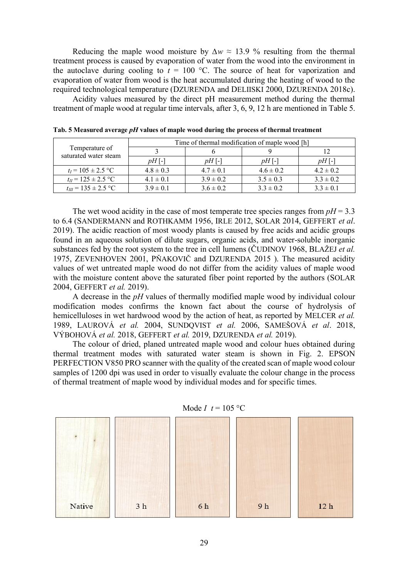Reducing the maple wood moisture by  $\Delta w \approx 13.9$  % resulting from the thermal treatment process is caused by evaporation of water from the wood into the environment in the autoclave during cooling to  $t = 100$  °C. The source of heat for vaporization and evaporation of water from wood is the heat accumulated during the heating of wood to the required technological temperature (DZURENDA and DELIISKI 2000, DZURENDA 2018c).

Acidity values measured by the direct pH measurement method during the thermal treatment of maple wood at regular time intervals, after 3, 6, 9, 12 h are mentioned in Table 5.

| Temperature of<br>saturated water steam | Time of thermal modification of maple wood [h] |               |               |               |  |  |
|-----------------------------------------|------------------------------------------------|---------------|---------------|---------------|--|--|
|                                         |                                                |               |               |               |  |  |
|                                         | $pH$ [-]                                       | $pH$ [-]      | $pH$ [-]      | $pH$ [-]      |  |  |
| $t_I = 105 \pm 2.5$ °C                  | $4.8 \pm 0.3$                                  | $4.7 \pm 0.1$ | $4.6 \pm 0.2$ | $4.2 \pm 0.2$ |  |  |
| $t_H = 125 \pm 2.5$ °C                  | $4.1 \pm 0.1$                                  | $3.9 \pm 0.2$ | $3.5 \pm 0.3$ | $3.3 \pm 0.2$ |  |  |
| $t_{III} = 135 \pm 2.5$ °C              | $3.9 \pm 0.1$                                  | $3.6 \pm 0.2$ | $3.3 \pm 0.2$ | $3.3 \pm 0.1$ |  |  |

**Tab. 5 Measured average** *pH* **values of maple wood during the process of thermal treatment**

The wet wood acidity in the case of most temperate tree species ranges from  $pH = 3.3$ to 6.4 (SANDERMANN and ROTHKAMM 1956, IRLE 2012, SOLAR 2014, GEFFERT *et al*. 2019). The acidic reaction of most woody plants is caused by free acids and acidic groups found in an aqueous solution of dilute sugars, organic acids, and water-soluble inorganic substances fed by the root system to the tree in cell lumens (ČUDINOV 1968, BLAŽEJ *et al.* 1975, ZEVENHOVEN 2001, PŇAKOVIČ and DZURENDA 2015 ). The measured acidity values of wet untreated maple wood do not differ from the acidity values of maple wood with the moisture content above the saturated fiber point reported by the authors (SOLAR 2004, GEFFERT *et al.* 2019).

A decrease in the *pH* values of thermally modified maple wood by individual colour modification modes confirms the known fact about the course of hydrolysis of hemicelluloses in wet hardwood wood by the action of heat, as reported by MELCER *et al.* 1989, LAUROVÁ *et al.* 2004, SUNDQVIST *et al.* 2006, SAMEŠOVÁ *et al*. 2018, VÝBOHOVÁ *et al.* 2018, GEFFERT *et al.* 2019, DZURENDA *et al.* 2019).

The colour of dried, planed untreated maple wood and colour hues obtained during thermal treatment modes with saturated water steam is shown in Fig. 2. EPSON PERFECTION V850 PRO scanner with the quality of the created scan of maple wood colour samples of 1200 dpi was used in order to visually evaluate the colour change in the process of thermal treatment of maple wood by individual modes and for specific times.



Mode *I*  $t = 105$  °C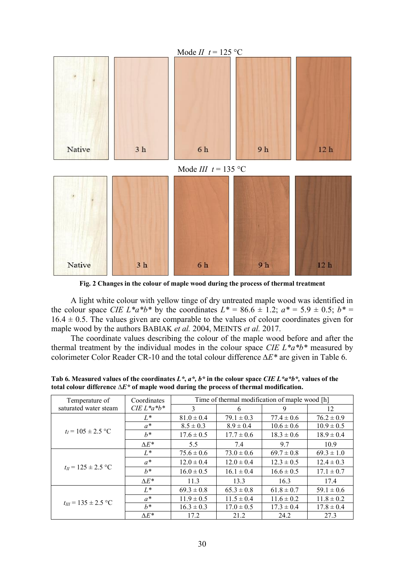

**Fig. 2 Changes in the colour of maple wood during the process of thermal treatment**

A light white colour with yellow tinge of dry untreated maple wood was identified in the colour space *CIE L*\**a*\**b*\* by the coordinates  $L^* = 86.6 \pm 1.2$ ;  $a^* = 5.9 \pm 0.5$ ;  $b^* =$  $16.4 \pm 0.5$ . The values given are comparable to the values of colour coordinates given for maple wood by the authors BABIAK *et al.* 2004, MEINTS *et al.* 2017.

The coordinate values describing the colour of the maple wood before and after the thermal treatment by the individual modes in the colour space *CIE L\*a\*b\** measured by colorimeter Color Reader CR-10 and the total colour difference *∆E\** are given in Table 6.

| Temperature of               | Coordinates       | Time of thermal modification of maple wood [h] |                |                |                |  |  |
|------------------------------|-------------------|------------------------------------------------|----------------|----------------|----------------|--|--|
| saturated water steam        | $CIE L^* a^* b^*$ | 3                                              | 6              | 9              | 12             |  |  |
|                              | $L^*$             | $81.0 \pm 0.4$                                 | $79.1 \pm 0.3$ | $77.4 \pm 0.6$ | $76.2 \pm 0.9$ |  |  |
|                              | $a^*$             | $8.5 \pm 0.3$                                  | $8.9 \pm 0.4$  | $10.6 \pm 0.6$ | $10.9 \pm 0.5$ |  |  |
| $t_1 = 105 \pm 2.5$ °C       | $h^*$             | $17.6 \pm 0.5$                                 | $17.7 \pm 0.6$ | $18.3 \pm 0.6$ | $18.9 \pm 0.4$ |  |  |
|                              | $\Lambda E^*$     | 5.5                                            | 7.4            | 9.7            | 10.9           |  |  |
| $t_{II} = 125 \pm 2.5$ °C    | $L^*$             | $75.6 \pm 0.6$                                 | $73.0 \pm 0.6$ | $69.7 \pm 0.8$ | $69.3 \pm 1.0$ |  |  |
|                              | $a^*$             | $12.0 \pm 0.4$                                 | $12.0 \pm 0.4$ | $12.3 \pm 0.5$ | $12.4 \pm 0.3$ |  |  |
|                              | $h^*$             | $16.0 \pm 0.5$                                 | $16.1 \pm 0.4$ | $16.6 \pm 0.5$ | $17.1 \pm 0.7$ |  |  |
|                              | $\Lambda E^*$     | 11.3                                           | 13.3           | 16.3           | 17.4           |  |  |
| $t_{III}$ = 135 $\pm$ 2.5 °C | $L^*$             | $69.3 \pm 0.8$                                 | $65.3 \pm 0.8$ | $61.8 \pm 0.7$ | $59.1 \pm 0.6$ |  |  |
|                              | $a^*$             | $11.9 \pm 0.5$                                 | $11.5 \pm 0.4$ | $11.6 \pm 0.2$ | $11.8 \pm 0.2$ |  |  |
|                              | $h^*$             | $16.3 \pm 0.3$                                 | $17.0 \pm 0.5$ | $17.3 \pm 0.4$ | $17.8 \pm 0.4$ |  |  |
|                              | $\Lambda E^*$     | 17.2                                           | 21.2           | 24.2           | 27.3           |  |  |

**Tab 6. Measured values of the coordinates** *L\****,** *a\*, b\** **in the colour space** *CIE L\*a\*b\*,* **values of the total colour difference** *∆E\** **of maple wood during the process of thermal modification.**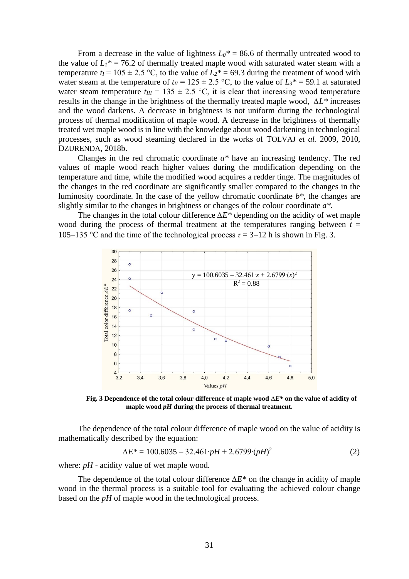From a decrease in the value of lightness  $L_0^* = 86.6$  of thermally untreated wood to the value of  $L_1^*$  = 76.2 of thermally treated maple wood with saturated water steam with a temperature  $t_I = 105 \pm 2.5$  °C, to the value of  $L_2^* = 69.3$  during the treatment of wood with water steam at the temperature of  $t_{II} = 125 \pm 2.5$  °C, to the value of  $L_3^* = 59.1$  at saturated water steam temperature  $t_{III} = 135 \pm 2.5$  °C, it is clear that increasing wood temperature results in the change in the brightness of the thermally treated maple wood, *∆L\** increases and the wood darkens. A decrease in brightness is not uniform during the technological process of thermal modification of maple wood. A decrease in the brightness of thermally treated wet maple wood is in line with the knowledge about wood darkening in technological processes, such as wood steaming declared in the works of TOLVAJ *et al.* 2009, 2010, DZURENDA, 2018b.

Changes in the red chromatic coordinate *a\** have an increasing tendency. The red values of maple wood reach higher values during the modification depending on the temperature and time, while the modified wood acquires a redder tinge. The magnitudes of the changes in the red coordinate are significantly smaller compared to the changes in the luminosity coordinate. In the case of the yellow chromatic coordinate *b\**, the changes are slightly similar to the changes in brightness or changes of the colour coordinate *a\**.

The changes in the total colour difference *∆E\** depending on the acidity of wet maple wood during the process of thermal treatment at the temperatures ranging between  $t =$ 105−135 °C and the time of the technological process  $\tau = 3-12$  h is shown in Fig. 3.



**Fig. 3 Dependence of the total colour difference of maple wood** *∆E\** **on the value of acidity of maple wood** *pH* **during the process of thermal treatment.**

The dependence of the total colour difference of maple wood on the value of acidity is mathematically described by the equation:

$$
\Delta E^* = 100.6035 - 32.461 \cdot pH + 2.6799 \cdot (pH)^2 \tag{2}
$$

where: *pH* - acidity value of wet maple wood.

The dependence of the total colour difference *∆E\** on the change in acidity of maple wood in the thermal process is a suitable tool for evaluating the achieved colour change based on the *pH* of maple wood in the technological process.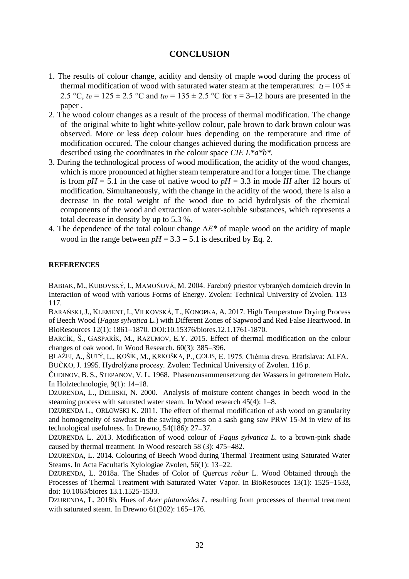# **CONCLUSION**

- 1. The results of colour change, acidity and density of maple wood during the process of thermal modification of wood with saturated water steam at the temperatures:  $t_I = 105 \pm 100$ 2.5 °C,  $t_{II}$  = 125 ± 2.5 °C and  $t_{III}$  = 135 ± 2.5 °C for  $\tau$  = 3–12 hours are presented in the paper .
- 2. The wood colour changes as a result of the process of thermal modification. The change of the original white to light white-yellow colour, pale brown to dark brown colour was observed. More or less deep colour hues depending on the temperature and time of modification occured. The colour changes achieved during the modification process are described using the coordinates in the colour space *CIE L\*a\*b\*.*
- 3. During the technological process of wood modification, the acidity of the wood changes, which is more pronounced at higher steam temperature and for a longer time. The change is from  $pH = 5.1$  in the case of native wood to  $pH = 3.3$  in mode *III* after 12 hours of modification. Simultaneously, with the change in the acidity of the wood, there is also a decrease in the total weight of the wood due to acid hydrolysis of the chemical components of the wood and extraction of water-soluble substances, which represents a total decrease in density by up to 5.3 %.
- 4. The dependence of the total colour change *∆E\** of maple wood on the acidity of maple wood in the range between  $pH = 3.3 - 5.1$  is described by Eq. 2.

#### **REFERENCES**

BABIAK, M., KUBOVSKÝ, I., MAMOŇOVÁ, M. 2004. Farebný priestor vybraných domácich drevín In Interaction of wood with various Forms of Energy. Zvolen: Technical University of Zvolen. 113– 117.

BARAŃSKI,J., KLEMENT, I., VILKOVSKÁ, T., KONOPKA, A. 2017*.* High Temperature Drying Process of Beech Wood (*Fagus sylvatica* L.) with Different Zones of Sapwood and Red False Heartwood. In BioResources 12(1): 1861−1870. DOI:10.15376/biores.12.1.1761-1870.

BARCÍK, Š., GAŠPARÍK, M., RAZUMOV, E.Y. 2015. Effect of thermal modification on the colour changes of oak wood. In Wood Research. 60(3): 385−396.

BLAŽEJ, A., ŠUTÝ, L., KOŠÍK, M., KRKOŠKA, P., GOLIS, E. 1975. Chémia dreva. Bratislava: ALFA. BUČKO, J. 1995. Hydrolýzne procesy*.* Zvolen: Technical University of Zvolen. 116 p.

ČUDINOV, B. S., STEPANOV, V. L. 1968. Phasenzusammensetzung der Wassers in gefrorenem Holz. In Holztechnologie, 9(1): 14−18.

DZURENDA, L., DELIISKI, N. 2000. Analysis of moisture content changes in beech wood in the steaming process with saturated water steam. In Wood research 45(4): 1−8.

DZURENDA L., ORLOWSKI K. 2011. The effect of thermal modification of ash wood on granularity and homogeneity of sawdust in the sawing process on a sash gang saw PRW 15-M in view of its technological usefulness. In Drewno, 54(186): 27−37.

DZURENDA L. 2013. Modification of wood colour of *Fagus sylvatica L.* to a brown-pink shade caused by thermal treatment. In Wood research 58 (3): 475−482.

DZURENDA, L. 2014. Colouring of Beech Wood during Thermal Treatment using Saturated Water Steams. In Acta Facultatis Xylologiae Zvolen, 56(1): 13−22.

DZURENDA, L. 2018a. The Shades of Color of *Quercus robur* L. Wood Obtained through the Processes of Thermal Treatment with Saturated Water Vapor. In BioResouces 13(1): 1525−1533, doi: 10.1063/biores 13.1.1525-1533.

DZURENDA, L. 2018b. Hues of *Acer platanoides L.* resulting from processes of thermal treatment with saturated steam. In Drewno 61(202): 165−176.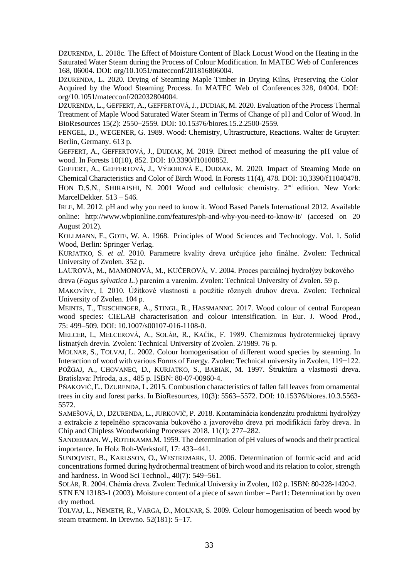DZURENDA, L. 2018c. The Effect of Moisture Content of Black Locust Wood on the Heating in the Saturated Water Steam during the Process of Colour Modification. In MATEC Web of Conferences 168, 06004. [DOI: org/10.1051/matecconf/201816806004.](https://doi.org/10.1051/matecconf/201816806004)

DZURENDA, L. 2020. Drying of Steaming Maple Timber in Drying Kilns, Preserving the Color Acquired by the Wood Steaming Process. In MATEC Web of Conferences 328, 04004. DOI: [org/10.1051/matecconf/202032804004.](https://doi.org/10.1051/matecconf/202032804004)

DZURENDA, L., GEFFERT, A., GEFFERTOVÁ, J., DUDIAK, M. 2020. Evaluation of the Process Thermal Treatment of Maple Wood Saturated Water Steam in Terms of Change of pH and Color of Wood. In BioResources 15(2): 2550−2559. DOI: 10.15376/biores.15.2.2500-2559.

FENGEL, D., WEGENER, G. 1989. Wood: Chemistry, Ultrastructure, Reactions. Walter de Gruyter: Berlin, Germany. 613 p.

GEFFERT, A., GEFFERTOVÁ, J., DUDIAK, M. 2019. Direct method of measuring the pH value of wood. In Forests 10(10), 852. DOI: 10.3390/f10100852.

GEFFERT, A., GEFFERTOVÁ, J., VÝBOHOVÁ E., DUDIAK, M. 2020. Impact of Steaming Mode on Chemical Characteristics and Color of Birch Wood. In Forests 11(4), 478. DOI: 10,3390/f11040478. HON D.S.N., SHIRAISHI, N. 2001 Wood and cellulosic chemistry. 2<sup>nd</sup> edition. New York: MarcelDekker. 513 – 546.

IRLE, M. 2012. pH and why you need to know it. Wood Based Panels International 2012. Available online: <http://www.wbpionline.com/features/ph-and-why-you-need-to-know-it/> (accesed on 20 August 2012).

KOLLMANN, F., GOTE, W. A. 1968. Principles of Wood Sciences and Technology. Vol. 1. Solid Wood, Berlin: Springer Verlag.

KURJATKO, S. *et al*. 2010. Parametre kvality dreva určujúce jeho finálne. Zvolen: Technical University of Zvolen. 352 p.

LAUROVÁ, M., MAMONOVÁ, M., KUČEROVÁ, V. 2004. Proces parciálnej hydrolýzy bukového dreva (*Fagus sylvatica L.*) parením a varením. Zvolen: Technical University of Zvolen. 59 p.

MAKOVÍNY, I. 2010. Úžitkové vlastnosti a použitie rôznych druhov dreva. Zvolen: Technical University of Zvolen. 104 p.

MEINTS, T., TEISCHINGER, A., STINGL, R., HASSMANNC. 2017. Wood colour of central European wood species: CIELAB characterisation and colour intensification. In Eur. J. Wood Prod., 75: 499−509. DOI: 10.1007/s00107-016-1108-0.

MELCER, I., MELCEROVÁ, A., SOLÁR, R., KAČÍK, F. 1989. Chemizmus hydrotermickej úpravy listnatých drevín. Zvolen: Technical University of Zvolen. 2/1989. 76 p.

MOLNAR, S., TOLVAJ, L. 2002. Colour homogenisation of different wood species by steaming. In Interaction of wood with various Forms of Energy. Zvolen: Technical university in Zvolen, 119−122. POŽGAJ, A., CHOVANEC, D., KURJATKO, S., BABIAK, M. 1997. Štruktúra a vlastnosti dreva. Bratislava: Príroda, a.s., 485 p. ISBN: 80-07-00960-4.

PŇAKOVIČ, Ľ., DZURENDA, L. 2015. Combustion characteristics of fallen fall leaves from ornamental trees in city and forest parks. In BioResources, 10(3): 5563−5572. DOI: 10.15376/biores.10.3.5563- 5572.

SAMEŠOVÁ, D., DZURENDA, L.,JURKOVIČ, P. 2018. Kontaminácia kondenzátu produktmi hydrolýzy a extrakcie z tepelného spracovania bukového a javorového dreva pri modifikácii farby dreva. In Chip and Chipless Woodworking Processes 2018. 11(1): 277–282.

SANDERMAN. W., ROTHKAMM.M. 1959. The determination of pH values of woods and their practical importance. In Holz Roh-Werkstoff, 17: 433−441.

SUNDQVIST, B., KARLSSON, O., WESTREMARK, U. 2006. Determination of formic-acid and acid concentrations formed during hydrothermal treatment of birch wood and its relation to color, strength and hardness. In Wood Sci Technol., 40(7): 549−561.

SOLÁR, R. 2004. Chémia dreva. Zvolen: Technical University in Zvolen, 102 p. ISBN: 80-228-1420-2.

STN EN 13183-1 (2003). Moisture content of a piece of sawn timber – Part1: Determination by oven dry method.

TOLVAJ, L., NEMETH, R., VARGA, D., MOLNAR, S. 2009. Colour homogenisation of beech wood by steam treatment. In Drewno. 52(181): 5−17.